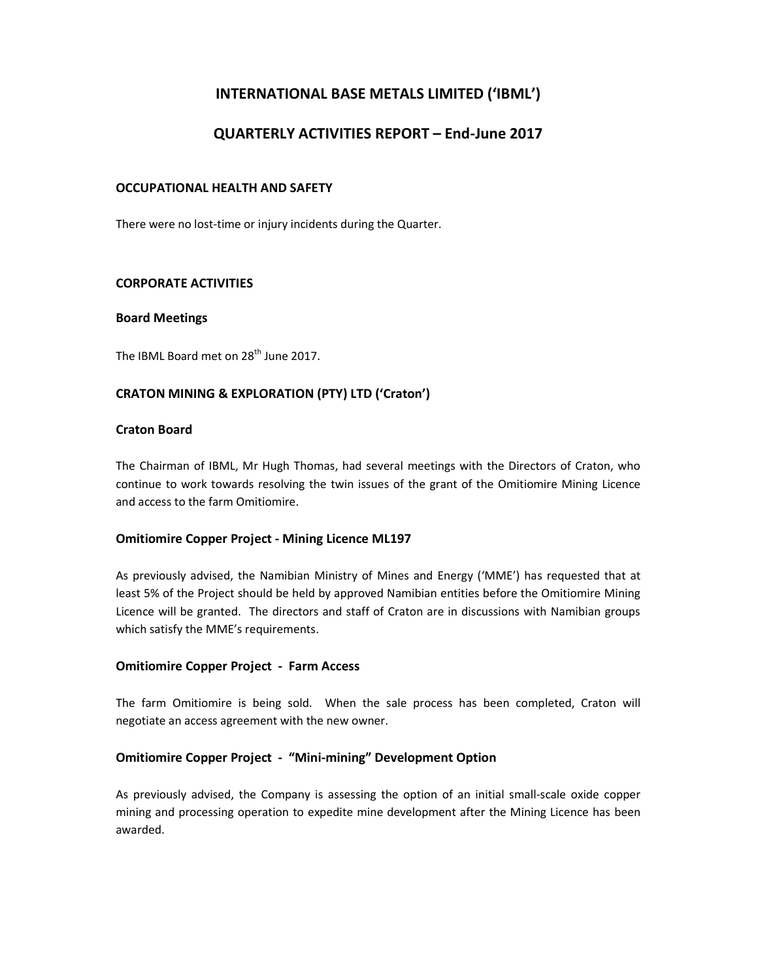# INTERNATIONAL BASE METALS LIMITED ('IBML')

# QUARTERLY ACTIVITIES REPORT – End-June 2017

### OCCUPATIONAL HEALTH AND SAFETY

There were no lost-time or injury incidents during the Quarter.

### CORPORATE ACTIVITIES

#### Board Meetings

The IBML Board met on 28<sup>th</sup> June 2017.

## CRATON MINING & EXPLORATION (PTY) LTD ('Craton')

#### Craton Board

The Chairman of IBML, Mr Hugh Thomas, had several meetings with the Directors of Craton, who continue to work towards resolving the twin issues of the grant of the Omitiomire Mining Licence and access to the farm Omitiomire.

#### Omitiomire Copper Project - Mining Licence ML197

As previously advised, the Namibian Ministry of Mines and Energy ('MME') has requested that at least 5% of the Project should be held by approved Namibian entities before the Omitiomire Mining Licence will be granted. The directors and staff of Craton are in discussions with Namibian groups which satisfy the MME's requirements.

#### Omitiomire Copper Project - Farm Access

The farm Omitiomire is being sold. When the sale process has been completed, Craton will negotiate an access agreement with the new owner.

#### Omitiomire Copper Project - "Mini-mining" Development Option

As previously advised, the Company is assessing the option of an initial small-scale oxide copper mining and processing operation to expedite mine development after the Mining Licence has been awarded.